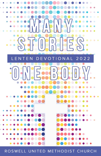

ROSWELL UNITED METHODIST CHURCH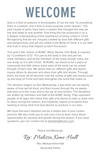# **WELCOME**

God is a God of seasons. In Ecclesiastes 3:1 we are told, "to everything there is a season, and a time to every purpose under heaven." The past couple of years have been a season that changed the way we live and relate to one another. One thing this has produced in us is a deeper understanding of the importance of being united in Christ. Recognizing that we are uniquely created by God with different gifts and perspectives, and yet are united in the Body of Christ. It is our faith and trust in Jesus that helped us learn this lesson.

This year's title, *Voices of RUMC: Many Stories, One Body,* is inspired by 1 Corinthians 12:12: "For just as the body is one and yet has many members, and all the members of the body, though many, are one body, so it is with Christ." At RUMC, we desire to be a place of community and faith where many parts of the body can be united through Christ's love. We desire that our different gifts and stories inspire others to discover and share their gifts and stories. Through them, we hope we all discover how the variety of gifts and stories build up the body of Christ and help strengthen the bond that unites us.

The devotion begins on Ash Wednesday, a day when we are keenly aware of how we fall short, and then moves through the six weeks that lead us to the cross and to the joy of resurrection. The devotions are written by members and staff of the RUMC family. They represent people of all ages who share their gifts and stories to help us draw near to Jesus during this season, and hopefully, inspire us to spend time seeking to know what fruit God desires to produce in our lives.

We hope that each devotion will be a helpful part of your Lenten practice. We also invite you to visit rumc.com to learn more about opportunities for worship and growth during this season. If you have questions, you can contact me at mkimehall@rumc.com.

Peace and Blessings,

Rev. Melissa Kime-Hall

Rev. Melissa Kime-Hall Associate Pastor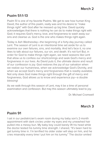# **Psalm 51:1-13**

Psalm 51 is one of my favorite Psalms. We get to see how human King David, the author of this psalm, really was and his desire to "make things right" with God after he messed up big time. David quickly acknowledges that there is nothing he can do to make things right with God; it requires God's mercy, love, and forgiveness to wash away our sins and cleanse us. God is the one who makes things right again.

Today is Ash Wednesday—the beginning of a forty-day journey called Lent. The season of Lent is an intentional time set aside for us to examine our own failures, sins, and mortality. And let's face it, no one likes to talk about our failures, our sin, and death. It's not fun! But, in order for God to make things right again, we need seasons like Lent that allow us to confess our shortcomings and seek God's mercy and forgiveness in our lives. As David puts it, the ultimate desire and result of our confession is joy. God restores the joy of our salvation when we realize our humanness, when we acknowledge God's Divinity, and when we accept God's mercy and forgiveness that is readily available. Not only does God make things right through the gift of mercy and forgiveness, God allows us to know and experience joy—a double blessing!

As we walk through this season of Lent, may it be a time of personal examination and confession. But may this season ultimately lead to joy.

Dr. Michael Cromwell

# **March 3**

# **Psalm 91**

I sat in our pediatrician's exam room during my baby son's 2-month appointment with dark circles under my eyes and my unwashed hair pulled into a messy bun. My baby boy could barely lift his head while the doctor tested his tummy time strength. I shared, "It's been hard to get tummy time in. I'm terrified his older sister will step on him, and he cries miserably every time I put him on his tummy." The doctor smiled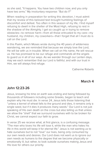as she said, "It happens. You have two children now, and you only have two arms." My involuntary response: "But do I?"

When reading in preparation for writing this devotion, I must admit that my review of this beloved text brought humbling feelings of discomfort and defeat. Too often in this season of my life, I find myself refusing to dwell in the shelter of the Most High, refusing to rest in the shadow of the Almighty. I get so caught up in trying to remove obstacles—to remove harm—from all those entrusted to my care—my husband, my children, my coworkers—that I forget that all I must do is call on the Lord.

In this Psalm, which Moses wrote during the 40 years of wilderness wandering, we are reminded that because we simply love the Lord, He will be with us in trouble. When we call on His name, He will rescue us. He has promised to be our refuge and commands all the angels to guard us in all of our ways. As we wander through our Lenten days, may we each remember that our Lord is faithful, and with our trust in Him, we will always find refuge.

Catherine Roberts

#### **March 4**

# **John 12:23-26**

Jesus, knowing his time on earth was ending and being followed by thousands of followers including some Greeks, began to teach and explain why He must die. In verse 24, Jesus tells those listening that "unless a kernel of wheat falls to the ground and dies, it remains only a single seed, but if it dies it produces many seeds." Our Lord is not just speaking of His own death on the cross but also telling us that unless we allow the "shell" that we surround ourselves with to be broken for Christ, we cannot expect our faith to grow.

In verse 25 we receive what, at first glance, is a confusing message. "The man who loves his life will lose it, while the man who hates his life in this world will keep it for eternal life." Jesus is not wanting us to hate ourselves but to not "love" our lives, being only consumed by our own needs and desires. Our Lord does not want us to ignore our own needs as humans to the degree that we become physically or emotionally ill, but rather, to look outside ourselves making Jesus and His love for others our priority.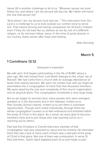Verse 26 is another challenge to all of us. "Whoever serves me must follow me, and where I am my servant will also be. My Father will honor the one that serves me."

"And where I am, my servant must also be…" This instruction from Our Lord is a challenge to us to look outside our comfort zone to serve him. That means serving and having compassion for all God's children: even if they do not look like us, believe as we do, are of a different religion, or do not even follow Jesus. In this time of great division in our country, these words offer hope and healing.

Allan Kennedy

## **March 5**

## **1 Corinthians 12:12**

#### Everyone Is Important

My wife and I first began participating in the life of RUMC about a year ago. We had moved from rural North Georgia to the urban city of Roswell. We had come from a church with an average attendance of fewer than twenty persons. We were not certain how well we might be assimilated into a congregation of more than five thousand members. We were awed by the size and complexity of this church organization and its physical plant. This congregation constitutes a very large body.

But as we began to worship here, many people who were strangers greeted us in the Sanctuary and in the hallways, invited us to their Sunday School classes, invited us to join them in volunteer opportunities. Though each acted individually, through them the whole congregation caused us to feel embraced and enfolded within the body of Christ in this place. As a result, we were glad to become members here and to join those who had reached out to us in reaching out to others.

Paul told the Christians in Corinth that every member of that congregation was very important to Jesus and his ministry. He reminded them that, like a foot or hand, each of them was a vital part of the body of Christ in that place. Not one of them was unimportant. In verse 13, Paul told them, "God's Spirit baptized each of us and made us part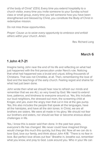of the body of Christ" (CEV). Every time you extend hospitality to a church visitor, every time you invite someone to your Sunday school class or small group, every time you tell someone how you have been strengthened and blessed by Christ, you constitute the Body of Christ in redemptive mission.

Do not miss those opportunities.

*Prayer: Cause us to seize every opportunity to embrace and enfold others within your church. Amen.* 

Rev. Richard Long

# **March 6**

# **1 John 4:7-21**

Imagine being John near the end of his life and reflecting on what had just happened with the first persecution under Nero's rule. Noticing that what had happened was a brutal and unjust, killing thousands of Christians. That was not Christlike, at all. Then, remembering the love of God and the teachings of the early church. Feeling regret and shame for what had just been done.

John wrote then what we should hear now to refresh our minds and remember that we are ALL so very loved by God. We need to extend love, patience, and kindness to everyone around us. Yes, this includes our loud neighbors, the stressed-out mom, the screaming child at Kroger, and yes, even the angry man that cut in line at the gas pump. Yes, this also includes the people that speak all the languages, have all the hairstyles, and have all the skin tones. In Christ, we are all brothers are sisters. We were all made in his glory. We should not fear our brothers and sisters, nor should we fear or become anxious about challenges in life.

Yes, I know this is easier said than done. In the past two years, everyone's life has changed. We never could have imagined things would change this much this quickly, but they did. Now all we can do is love God, love our family, and think about John 4:18. "There is no fear in love. But perfect love drives out fear." Breathe in, breathe out, remember what you know, and pray to God. Look around you. Who in your life can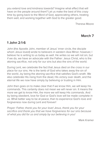you extend love and kindness towards? Imagine what effect that will have on the people around them? Let us make the best of this crazy time by going back to the Word of God, appreciating others, treating them well, and working together with God to the greater good.

Theresa Moore

## **March 7**

# **1 John 2:1-6**

John (the Apostle John, member of Jesus' inner circle, the disciple whom Jesus loved) wrote to believers in western Asia Minor; however, I believe he is writing to us today as well. He writes so we will not sin, but if we do, we have an advocate with the Father: Jesus Christ, who is the atoning sacrifice, not only for our sins but also the sins of the world.

During Lent, we celebrate the fact that Jesus died on the cross in our place for our sins. He is the lamb of God who takes away the sin of the world…by being the atoning sacrifice that satisfies God's wrath. We also celebrate His rising from the dead, His victory over death, and the eternal life we now have simply by believing or trusting in Him.

John then goes on to make clear that if we know Him, we will keep his commands. This certainly does not mean we will never sin. It means the more we get to know Him, the more we will keep His commands. And by being obedient, love for God or God's love will be made complete in us. What better way to be at peace, than to experience God's love and forgiveness now during Lent and forever!

*Prayer: Father, thank you for your love! Jesus, thank you for your sacrifice and thank you that we have forgiveness for our sins because of what you did for us and simply by our believing in you!*

Mark Kramer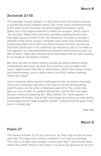# **Zechariah 3:1-10**

This passage is quite oblique; it is the fourth vision Zechariah receives in just the first three chapters alone. One of the more interesting things in this vision is the character that most English translations name Satan, but in the original Hebrew is written as ha-satan, which means "the accuser." Rather than being the pitchfork-wielding horned devil that might spring to mind, in the Old Testament, ha-satan is actually a member of the divine council, someone who works kind of like God's prosecuting attorney to point out where humans fall short and assure that God's perfection is not sullied by our sinfulness (Job 1-2 is similar in this regard). It is understandable how someone who points out your sin, like ha-satan, might later become more associated with sin itself, leading to our modern conception of Satan.

But here, we see ha-satan ready to prosecute Joshua before being preemptively shut down by God. For a moment, put yourself in this scene; what would it feel like to stand before God in the shame of your own shortcomings, just as Joshua was in his filthy clothes standing before the angel?

Lent is a season when we are challenged to take an honest, hard look at our own sinfulness and ask for the grace to throw off everything which hinders, as the writer of Hebrews says (12:1). This is why folks give up vices or take on spiritual disciplines—not for their own sake, but as a means of replacing our "filthy clothes" for "festal apparel" in preparation for Easter. Just as the Lord reassured Joshua, so may we be encouraged by the same prophetic words: "I will remove the guilt of this land in a single day."

Matt Hall

#### **March 9**

#### **Psalm 27**

The words of Psalm 27 act as a mirror for us. They help us see our lives with God. The days when we are confident in our faith proclaiming, "the Lord is my light and salvation, whom shall I fear?" (v1), and the ones where the words "Hear O Lord, when I cry aloud, be gracious to me and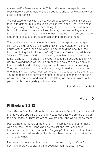answer me!" (v7) resonate more. This psalm joins the experiences of our lives where we contemplate God's goodness and when we actively call upon His goodness.

Are our experiences with God so varied because we live in a world that tells us to gather up lots of stuff so we can live "good lives"? We get so busy grabbing and holding these things that we fail to focus on what is most important. In our daily lives, this may look like putting so many things on our calendars that we find that things we once enjoyed are no longer fun because there is so much crammed around them.

This psalm tells us there is one thing needed to experience the good life. "One thing I asked of the Lord, that will I seek after; to live in the house of the Lord all the days of my life, to behold the beauty of the Lord, and to inquire in His temple," (v4). The word "asked" translates to "desired." We are reminded there is only one thing we need to desire to have enough. The one thing is God. In January, I decided to start my day by praying these words. They remind me daily to set my sights on God and what God is doing. They call me to worship God constantly. They help me to let go of what the world says I need and pursue the one thing I know I need, nearness to God. This Lent, what are the things you need to let go of so you can pursue the one thing that is needed? As you set your heart and mind toward letting go, pray the words of this psalm and let them guide you toward God.

Rev. Melissa Kime-Hall

# **March 10**

#### **Philippians 3:2-12**

Yeah! Go get 'em, Paul! Give those hypocrites the "what for," them and all their rules and special signs and fences to get past. We are the ones on the side of Jesus! They are wrong. We are right, and we will show them!

Paul warned his friends of the church in Philippi to watch out for those who twist the Gospel, imposing new restrictions that Jesus never heaped on them to be a part of the "in-group." He reminded them that if you want to get serious about the Hebrew laws, he can tell it better than anyone. So what?

Paul says that, as valuable as he found the Law to be, his life in Christ now is far more valuable, full, and beautiful than his past life was.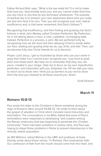Father Richard Rohr says, "What is the law really for? It is not to make God love you. God already loves you, and you cannot make God love you any more or any less by any technique whatsoever. The purpose of spiritual law is to sharpen your own awareness about who you really are and who God is for you. Then you will recognize your own radical insufficiency and, in that same movement, find God's fullness."1

Recognizing that insufficiency, and then finding and growing into God's fullness is what John Wesley called Christian Perfection. By Perfection, he is not talking about a noun, a cold, crystalline, unchanging state. Instead, Perfection is a process, a verb. We are perfected only by recognizing how we fall short and then allowing Christ to reside within our lives, leading and guiding what we do, say, think, and feel. Then, can we become fully who Christ intends for us to become.

*Prayer: Lord Jesus, I get so frustrated by those who use your name in ways that make it so I cannot even recognize you. I just want to grab them and shake them. But help me to remember that they, too, are yours, created in your image. Help me to focus on my own imperfection, perfection, and maturation with you. Empower me. Fill me with your love to reach out to those who I think put up barriers to you and to show them the love you showed to all those around you. Amen.* 

Scott Dickson

# **March 11**

#### **Romans 10:8-13**

Paul wrote this letter to the Christians in Rome sometime during the reign of Emperor Nero around 54-68 CE. He wrote to them about the gospel of salvation in Christ which included moral instruction and exhortation. The concordance in my Bible stated that some of Paul's exhortations were responses to developing "anti-Judaism among the Roman aristocracy that was beginning to penetrate the Christian community." There had been problems in nearby cities, and Paul was hoping to dispel those problems in Rome to prevent disturbances in the minority Jewish population.

As Will Willimon, retired Bishop in the UMC and professor at Duke Divinity, wrote about these verses, "In Romans, Paul emphasizes faith. Our confession of faith from the mouth should come from the heart, and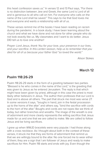this heart confession saves us." In verses 12 and 13 Paul says, "For there is no distinction between Jew and Greek, the same Lord is Lord of all and is generous to all who call on him. For everyone who calls on the name of the Lord shall be saved." This says to me that God loves me and everyone and wants a relationship with all of us.

These verses remind me of the books I have been reading on racism during the pandemic. In a book study, I have been learning about the church and what we have done and not done for other people who do not look exactly like us. My classmates and I want to do better. Jesus DID tell us to love one another!

*Prayer: Lord Jesus, thank You for your love, your presence in our lives, and your sacrifice. In this Lenten season, help us to remember that you died for all of us because your father God "so loved the world."*

Alison Stokes

# **March 12**

#### **Psalm 118:26-29**

Psalm 118:26-29 starts in the form of a greeting between two parties. "Blessed is he who comes in the name of the Lord," is the greeting that was given to Jesus as he entered Jerusalem. The reply is that which might have been given by priest, although in this case the priest is most likely other believers in Jesus. The author then professes that our Lord is God and is above all others. The part that struck me most was verse 27. In some versions it says, "boughs in hand, join in the festal procession up to the horns of the altar" and others say, "bind the sacrifice with cords to the horn of the altar." Boughs and cords are not ropes like we think of today, but rather branches and wreaths. The image of the wreath is one of adornment and more clearly represents the willing sacrifice that Jesus made for us and one that we are called to make. We are called to follow Jesus and be living sacrifices.

I grew up when WWJD bracelets were very popular. I had those along with a cross necklace. As I thought about both in the context of these verses, it struck me that they are forms of adornment that remind us that we are willingly bound to the altar. No one forced me to wear either of them; they are a sign that I am follower of Jesus and ready to make sacrifices for Him. Psalm 118 starts and ends with joy. Even though the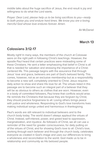middle talks about the huge sacrifice of Jesus, the end result is joy and willingness to do what the Lord wants.

*Prayer: Dear Lord, please help us to be living sacrifices to you—ready to both praise you and endure hard times. We know you are a loving, merciful God whose love endures forever. Amen.*

Ali McDaniel

#### **March 13**

# **Colossians 3:12-17**

Mostly right! In many ways, the members of the church at Colossae were on the right path in following Christ's teachings. However, the apostle Paul heard that certain practices were misleading some of these Christians. He sent a letter emphasizing that belief in Christ is all that is needed for salvation and stressing the importance of a Christcentered life. This passage begins with the assurance that through Jesus' love and grace, believers are part of God's beloved family. This comes, however, not as an exclusive membership but as a responsibility to become a new self, completely oriented to Christ. Jesus requires daily action to show and share His love for all. The virtues listed in this passage are to become such an integral part of a believer that they will be as obvious to others as clothes that are worn. However, even in a body of committed followers, Paul knew that conflicts would arise. He reminds the Christians that because they are forgiven by Christ, they should practice forgiveness to all. Loving others brings peace with justice and wholeness. Responding to God's love transforms lives making individual songs united and harmonious in thanksgiving.

Paul's words are still relevant to individual believers and to the church body today. The world doesn't always applaud the virtues of Christ. Instead, self-interest, power, and greed lead to oppression, marginalization, and injustice. As followers of Christ, we all can use a reminder of the need for greater consciousness, for daily putting on of the virtues of Christ, and for showing God's love to all. Christ's love, working through each believer and through the church body, celebrates everyone as created in God's image and uses our differences to bring a wholeness and reconciliation to the world. God made us to be in relationship and community as His beloved people.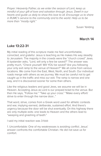*Prayer: Heavenly Father, as we enter the season of Lent, keep us mindful of your gift of love and salvation through Jesus. Dwell in our hearts and guide us daily to show this love to all. Encourage us to share in RUMC's service to the community and to the world. Help us to be more than "mostly right."* 

Susan Yeilding

#### **March 14**

#### **Luke 13:22-31**

My initial reading of this scripture made me feel uncomfortable, convicted, and grateful. Jesus is teaching as He makes His way steadily to Jerusalem. The majority in the crowds were the "church crowd" Jews. A bystander asks, "Lord, will only a few be saved?" The answer was pretty much, "Check yourself. Will YOU be saved? Are you following your only exit ramp to the venue of Heaven?" We all come from various locations. We come from the East, West, North, and South. Our individual roads merge with others as we journey. We must be careful not to get caught up in the traffic and miss our exit. The ramp is narrow and one way, and it is discovered sooner for some than others.

Like the religious leaders and good Jews, we assume we will be in Heaven. Accepting Jesus as Lord is our prepaid ticket to the venue. But then He says, "Follow me." "Take up your cross." "Make every effort/ strive to enter through the narrow door..."

That word, strive, comes from a Greek word used for athletic contests and war, implying earnest, deliberate, sustained effort. And there's urgency because the door will be shut eventually. On this highway there are only multiple exits: one leads to Heaven and the others lead to "weeping and gnashing of teeth."

I said my initial reaction was 3-fold:

1. Uncomfortable: One of my weaknesses is avoiding conflict. Jesus' answer confronts the comfortable Christian. He did not save us for comfort.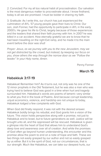2. Convicted: For my all too natural habit of procrastination. Our salvation is the most dangerous matter to procrastinate about. I know firsthand, today is all we are promised. I must be bolder in sharing my faith.

3. Gratitude: As I write this, our church has just experienced the culmination of AYL. 57 young people gave their lives to Christ. Our son, Josh Fonner, had the opportunity to participate in AYL in the early 2000's. He gave his life to Christ, largely because of those experiences and the leaders that shared their faith journey with him. In 2007 he was killed in a car accident. How eternally grateful we are to know that he had been travelling on the right Exit ramp, and he made it to the main event before the door was shut!

*Prayer: Jesus, as we journey with you to the new Jerusalem, may we not get distracted by the crowd, but instead, by keeping our focus on you, show others the way through the narrow door as we "Follow the leader." In your Holy name, Amen.*

Penny Fonner

## **March 15**

## **Habakkuk 3:17-19**

Habakkuk! Remember him? As it turns out, not only was he one of the 12 minor prophets in the Old Testament, but he was also a man who was trying hard to believe God was good in a time when hurt and tragedy surrounded him. Habakkuk's words are poems of lament—very similar to what you find in the book of Psalms. And because corrupt leadership, unjust economics, violence, and hardship are not unique to today, Habakkuk lodged a few complaints with God.

When God did finally respond, it was not with the desired answer. Habakkuk boldly brings his rebuttal, and God grants him a vision of the future. This vision holds perspective along with a promise, not just to Habakkuk and to Israel, but to future generations as well. Justice will be brought unto all, and the oppressed will be rescued. Habakkuk is given a glimpse into the heart of God that allows him to understand God's deep love and awareness over all of creation. And while the promises of God often go beyond human understanding, this encounter and this promise allow the poem to end on a note of hope and faith. These are two things not easily grasped by our author and not so easily grasped by us either. But it is the spirit of God, not our circumstances, that is our strength. Much like Habakkuk, we can take our deepest hurts, our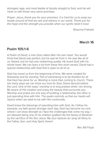strongest rage, and most feeble of doubts straight to God, and He will meet us with those very same promises.

*Prayer: Jesus, thank you for your promises. It is hard for us to wrap our heads around all that we see and witness in our world. Thank you for the hope and the strength you provide when our spirits need it most.* 

Shaunna Fretwell

#### **March 16**

#### **Psalm 105:1-6**

A Psalm of David, a man God called after His own heart. You would think that David was perfect, but he was far from it. He was like all of us, flawed, but he had one redeeming quality. He loved God with his whole heart. We can learn a lot from these few short verses. David had a special relationship with God that is open to all of us.

God has loved us from the beginning of time. We were created for fellowship and for worship. Part of worshiping is to be thankful for all that God has done for us. Worship is more than coming to church. There are many ways we can show our love for God. David danced before the Lord. One of the ways I worship is to sing praises while I am driving. Be aware of His creation and enjoy the beauty that surrounds you. Worship and praise are one way of building a relationship; the other is just spending time with Him. The psalm reminds us that our hearts will rejoice when we seek to be with Him continually.

David knew the blessings of spending time with God. As I follow his example, my faith grows stronger each day. God has become my rock where I can draw strength as I face the challenges that come my way. I am blessed being one of his children grafted into the family of Abraham by the sacrifice of His Son Jesus. My soul rejoices as I pray all Glory to the Father, Son, and Holy Spirit, Amen!

Rev. Bill Floyd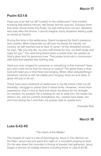# **Psalm 63:1-8**

Have you ever felt cut off? Lonely? In the wilderness? I find comfort knowing that biblical heroes, like David, felt this way too. Scholars think that when David wrote this Psalm, he was hiding from his son, Absalom, who was after the throne. I cannot imagine many situations feeling quite so lonely as David's.

During this time in the wilderness, David hungered for God's presence and comfort. When David felt cut off from his family, his friends, his country, he still reached out to God. In verse 1 of the Amplified version, he says, "My soul (my life, my very self) thirsts for You, my flesh longs and sighs for you." The next thing David does is praise God. He speaks of God's glory and his generous love. That praise turns into a communion with God that satisfies like nothing else.

Have you ever longed for someone or something in that manner? Have you ever cried out to God for rescue or solace? The good news is that God will meet you in that thirst and longing. When other people/things/ situations cannot or will not satisfy your longing, God can and does. It gives him joy to do so!

There have been stretches of wilderness in my life where I feel cut off. Honestly, I struggle to praise God in these times. However, I know from experience, that if I turn to God and share my desire for his strength, his comfort, his wisdom; He is waiting for me to seek him. He meets me where I am, and his comfort strengthens me. I realize how weak I am and how strong He is and then my praises start to quietly form.

Charlotte Pelz

**March 18**

#### **Luke 6:43-45**

#### The Heart of the Matter!

The Gospel of Luke is a set of teachings by Jesus in The Sermon on the Plain. Jesus had just spent the night on a mountain praying to God. On His way down the mountain a throng of people had gathered; Jesus began a sermon of notable lessons including those in Luke 6:43-45.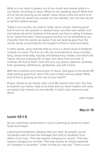What is in our heart is spoken out of our mouth and reveals what is in our hearts, according to Jesus. What are we speaking about? What kind of fruit are we bearing as we speak? Jesus drives home the point to all of us, "what we speak truly reveals our true identity" and not how we act or perform before people.

Today in our country, we need to relate Jesus' words—bearing good fruit of love for one another is needed more now than ever before. Evil and hatred sits at the forefront of the world, but God is calling Christians to be "good fruit trees," bearing good fruit that can be identified by our character from the words we speak. If we are bearing good fruit, the results will be productivity for the kingdom of God in word and deed.

In other words, Jesus teaches that our fruit is a direct result of whatever controls our heart. The fruit of a life not surrendered to Jesus includes lying, sexual immorality, impurity and debauchery, idolatry and witchcraft, hatred, discord, jealousy, fits of rage, and many more evil acts. In contrast, the fruit of God's heart are love, joy, peace, patience, kindness, truth, goodness, faithfulness, gentleness, and self-control.

With the crucifixion and resurrection of Jesus, God gave to the world HIS heart bearing good fruit. Have YOU had a heart checkup lately? What kind of fruit is growing on the tree of your heart??

*Prayer: Speak to our hearts, dear Lord! We need to hear from You how to examine our hearts. Help us to know that our heart matters and what we speak truly reveals our true identity. In God's holy name we pray, Amen.*

JoAn Hobbs

# **March 19**

#### **Isaiah 55:1-9**

As you read these verses there is such a yearning by Isaiah to Listen! Seek! And follow!

Listening encompasses obeying what you hear. As people, we do not always want to hear the message from God or feedback from others in our lives. That may require changing our course. That may require changing our mindset. That may require an honest appraisal of a situation or ourselves. "Listen so that you may live." There is such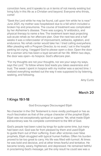conviction here, and it speaks to us in terms of not merely existing but living fully in this life as a Christian and beyond. Everyone who thirsts, come!

"Seek the Lord while he may be found, call upon him while he is near." June 2021, my mother was hospitalized due to a fall which included a broken hip and pneumonia. The course of treatment was complicated by her Alzheimer's disease. There was surgery, IV antibiotics, and physical therapy to name a few. The treatment team kept projecting sub-acute rehab as her aftercare plan. Over the next two and a half weeks it was a rollercoaster of improvement, setbacks, agitation, and endurance. No rehab center would take her. I tried calling everywhere. After pleading with a Program Director, to no avail, I sat in the hospital parking lot crying. I begged God to please open a door. Open the door for a woman who has been a loyal servant all her life. Within two days, the door was open—to hospice. God's aftercare plan.

"For my thoughts are not your thoughts, nor are your ways my ways, says the Lord." To follow where God leads you takes awareness and trust. The week I spent in hospice with my mother was a sacred time. I realized everything worked out the way it was supposed to by listening, seeking, and following.

Amy Curtis

# **March 20**

#### **1 Kings 19:1-18**

#### God Encourages Discouraged Elijah

No character in the Old Testament is more vividly portrayed or has as much fascination as that of the unique character of the prophet Elijah. Elijah was not exceptionally spiritual or superior. Yet, what made Elijah extraordinary was his complete commitment to the Will of God.

God's people had been ruled by kings for quite some time, but many had been evil. God was far from pleased by them and used Elijah to guide them out of their suffering. Even after victories over false prophets, Elijah struggled with typical human frailties. Often his burden proved to be too great to carry. His life was filled with turmoil. At times he was bold and decisive, and at other times fearful and tentative. He became lonely, weary, frightened, and depressed. He remained faithful in proclaiming God's message, yet the only result he could see was a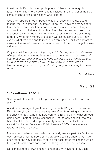threat on his life… He gave up. He prayed, "I have had enough Lord, take my life." Then he lay down and fell asleep. But an angel of the Lord came, touched him, and his spirit was restored.

God often speaks through people who are ready to give up. Could that be you—or someone you know? In my life, I have had many efforts that seemed too difficult or impossible to continue... I wanted to give up. I am thankful that even though at times the journey may seem too challenging, I know He is mindful of each of us and will give us strength to go on. Whether in victory or despair, we can trust the Lord to know exactly what we need and to meet our every need. Don't we all want to make a difference? Have you ever wondered, "if I carry on…might I make a difference?"

*Prayer: Lord, thank you for all your special blessings and for this season of hope. Help us to live the life you want us to live and to be aware of your presence, reminding us you have promised to be with us always. Help us to keep our eyes on you, as we know your eyes are on us. May we hear your encouragement while you guide us along life's way. Amen.* 

Don McNew

# **March 21**

# **1 Corinthians 12:1-13**

"A demonstration of the Spirit is given to each person for the common good."

A scripture passage of great meaning for me is 1 Kings 19. The prophet Elijah is enjoying a private 'pity party' just after his amazing victory over the priests of Baal. When the Lord confronts Elijah asking, "what are you doing here?" part of Elijah's response is, "I'm the only one left who has been faithful." The Lord responds to Elijah's other complaints, then almost "by the way"—reminds Elijah there are 7,000 others who are faithful. Elijah is not alone.

Nor are we. We have been called into a body, we are part of a family, we each are essential members of this group we call the church. We have each other and have the task of caring for each other, making the whole thing work for the common good and the good of God's Creation.

Does that sound overwhelming? Remember, we have not only each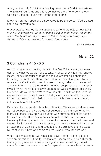other, but the Holy Spirit, the indwelling presence of God, to activate us. The Spirit will guide us and gift us so that we are able to do whatever God calls us to do—even rest—at the proper time.

Know you are equipped and empowered to be the person God created and is calling you to be.

*Prayer: Faithful Father, thank you for the gift and the gifts of your Spirit. Remind us always we are never alone. Help us to be faithful members of this family into which you have called us, being and doing all you desire, and living in peace with one another. Amen.*

Sally Dowland

# **March 22**

# **2 Corinthians 4:16 - 5:5**

As our daughter was getting ready for her first AYL this year, we were gathering what we would need to take. Phone… check, journal… check, jacket… check (because who does not love a water balloon fight in thirty-degree weather!). Then I reached for her beautiful new Bible she received for Confirmation, and I paused. I thought she could leave that at home. I do not want it to get dirty. Within a couple of seconds, I said to myself, "What??!!. What a crazy thought to let God's word sit on a shelf." How often do we do this? We receive something finite on this Earth, and we treasure it and save it away, so it stays in pristine condition. Only to find out no matter what, it fades, it corrodes, it breaks, it wears down, and it disappears ultimately.

If you are like me, we do this with our lives too. We save ourselves so we do not get bumps and so we do not put ourselves in uncomfortable or fearful situations. Staying in our bubble with our tribe of familiar people to stay safe. That Bible sitting on my daughter's shelf, which is our Heavenly Father's perfect word, is meant to be seen, touched, used, and shared! By God's will and by His design, we too are meant to be seen as an example of God's love and used to share God's love and the Good News of Jesus Christ who came to give us an eternal life with God!!

When Paul writes to the Corinthians he says, "For the things that are seen are transient, but the things that are unseen are eternal." Through God's good grace, each one of us is guaranteed something that will never fade and never wane in perfect splendor. I recently heard a pastor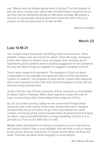say, "Where was the Gospel going when it hit you?" Let the Gospel hit you, let Jesus change your whole self, and then keep it moving! Let us not only see the temporary things or difficulties of today. My prayer is that we can go bravely into the world and share His word, this is our mission so that all may know of an eternal life!

Rachel Litchfield

# **March 23**

#### **Luke 13:18-21**

The mustard seed represents something small and pervasive. Once planted, it takes over and cannot be killed, much like kudzu. Everyone knows that stories of women were not always kind. And the use of ingredients just as yeast to leaven anything suggested an evil presence. So how are these things put together to suggest a kingdom of God?

That is what makes it all wonderful. The kingdom of God will stand in opposition to the strength and dominant nature of the well-known Cedars of Lebanon. The kingdom of God will be created with everyone that is not supposed to be in the lead. And the kingdom of God will use the very things deemed bad.

To top it off, the use of three measures of flour connects us immediately to Sarah's story in Genesis. When God visits the couple, the birth of Isaac is announced while Sarah takes three measures of flour.

So, for our Lenten journey, today we are connected through these words of Luke to the stories of the many whose lives were changed because they let go of control, let go of the boundaries the world created, and let go of the preconceived notion of government and ways of culture, only to accept that God is using everything in front of us to pervade our lives so our faith may run wild.

Maybe today we pinpoint one thing or one person in our lives that we are trying to control, that is unacceptable, that we think is evil or needs to be cut out, and see that person or issues as the baker, the flour, the seed. That way, we allow God's kingdom to work instead.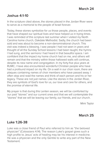# **Joshua 4:1-10**

In the scripture cited above, the stones placed in the Jordan River were to serve as a memorial to the people of Israel forever.

Today, these stones symbolize for us those people, places, and events that have shaped our spiritual lives and have helped us in trying times. I was reminded of this scripture last summer when I visited my North Carolina home church, Oakdale Methodist. Sadly, the church had been sold and was about to become a non-denominational church. This visit was indeed a blessing. I saw people I had not seen in years and thought of all the Sunday School lessons I had been taught, the hymns I had sung, and the sermons I had heard in that beautiful space. I am confident that the impact my home church had on me, and others will remain and that the ministry within those hallowed walls will continue, despite its new name and congregation. In my forty-five plus years at RUMC, I have also encountered wonderful Christian people who have had a profound impact on my life. On a wall in our choir room, there are plaques containing names of choir members who have passed away. I often stop and read the names and think of each person and his or her legacy. These are not just names. Like the stones in the Jordan River, they are symbols of God's love for us, our love and care for others, and the promise of eternal life.

My prayer is that during this Lenten season, we will be comforted by our past "stones" and our current ones and that we will contemplate the "stones" that we will be leaving our family, our friends, and our church.

Mimi Taylor

# **March 25**

#### **Luke 1:26-38**

Luke was a close friend of Paul who referred to him as "the beloved physician" (Colossians 4:14). The reason Luke's gospel gives such a high profile to Jesus' acts of healing may be his interest in medicine. He was a physician and the only Gentile to write any part of the New Testament.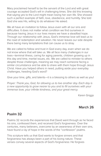Mary proclaimed herself to be the servant of the Lord and with great courage accepted God's will in challenging times. She did this knowing that saying yes to the Lord might mean losing her own life. She showed such a perfect example of faith, love, obedience, and humility. She told God she was His, willing to do whatever He asked.

We all have an invitation to follow Jesus even with all our sins and difficulties. It does not matter what condition we find ourselves in because having Jesus in our lives means we have a steadfast hope. Through our relationship with Jesus, God's immense love will lead us to the road of redemption and salvation. He never leaves our side despite there being many temptations that can cause us to stray.

We are called to follow and trust in God every day, even when we do not know where that will take us. We all face many challenges in our lives—terminal illness, caring for aging parents, children growing up in this day and time, marital issues, etc. We are called to minister to others despite those challenges, meaning we may reach someone facing a similar circumstance and be able to share with them hope through Jesus Christ. Have you helped others in need, putting aside your everyday challenges, heeding God's word?

Give your time, gifts, and talents—it is a blessing to others as well as you!

*Prayer: Thank you, God, for allowing us to live another day. Each day is a new opportunity to grow nearer to you and to fill ourselves with your immense love, your infinite kindness, and your great mercy.* 

Karen Griggs

#### **March 26**

#### **Psalm 32**

Psalms 32 records the experiences that David went through as he faced his sins, confessed them, and received God's forgiveness. Over the centuries, many believers, overcome by an awareness of their own sins, have found a ray of hope in the words of the "confession" psalms.

This scripture tells us that God wants to forgive sinners and that forgiveness has always been a part of his loving nature. These verses convey several aspects of God's forgiveness: He forgives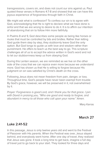transgressions, covers sin, and does not count our sins against us. Paul quoted these verses in Romans 4:7-8 and showed that we can have this joyous experience of forgiveness through faith in Christ.

We might ask what is confession? To confess our sin is to agree with God, acknowledging that He is right to declare what we have done is sinful and that we are wrong to desire to do it. It is to affirm our intention of abandoning that sin to follow Him more faithfully.

In Psalms 8 and 9, God describes some people as being like horses or mules that must be controlled by bits and bridles. Rather than letting God guide them step by step, they stubbornly leave God the only option. But God longs to guide us with love and wisdom rather than punishment. He offers to teach us the best way to go. This scripture challenges all of us to accept the advice written in God's word and not to let our stubbornness keep us from obeying God.

During this Lenten season, we are reminded as we live on the other side of the cross that we can rejoice even more because we understand more. God has shown us that He is willing to forgive because His judgment on sin was satisfied by Christ's death on the cross.

Following Jesus does not mean freedom from pain, danger, or loss. Throughout time, God's people have never been exempt from trouble. By God's grace, however, we will be preserved in it, not overwhelmed by it.

*Prayer: Forgiveness is good Lord, and I thank you for that grace. I join with David in praising you, "Who are good and ready to forgive, and abundant in mercy to all those who call upon your name." Amen.* 

Mary Karras

#### **March 27**

#### **Luke 2:41-52**

In this passage, Jesus is only twelve years old and went to the Festival of Passover with His parents. When the Festival was over, Jesus stayed behind, and everybody went home. After one day of travel, they realized that Jesus was gone. It took a long time to get back, imagine a full day of travel just to go back to your start. They looked for three days and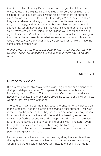then found Him. Normally if you lose something, you find it in an hour or so. Jerusalem is big. It's kinda like hide and seek; Jesus hides, and his parents seek. Except Jesus wasn't hiding from them on purpose, even though His parents looked for three days. When they found Him, they were relieved and angry at the same time. He was their son, so they were happy, and they were mad because He had been gone for a long time. When they found Him, He was talking to teachers, and He said, "Why were you searching for me? Didn't you know I had to be in my Father's house?" But they did not understand what He was saying to them. What Jesus meant is not what we see now. He meant He was in God's house. Not His physical father, His spiritual father. We all have the same spiritual father, God.

Prayer: Dear God, help us to understand what is spiritual, not just what *we see. Thank you for sending Jesus to help us learn how to do that. Amen.*

Daniel Fretwell

## **March 28**

#### **Numbers 6:22-27**

Bible verses do not shy away from providing guidance and perspective during hardships, and when God speaks to Moses in the book of Numbers, it is no different. Thirteen months after being rescued from Egypt, the Israelites find themselves preparing to wander the wilderness, whether they are aware of it or not.

The Lord conveys a blessing that Moses is to ensure he gets passed on to the Israelites. I see this blessing as serving a dual purpose. First, God is reminding the Israelites that they have been set apart as a holy nation in contrast to the rest of the world. Second, this blessing serves as a reminder of God's presence with His people and His desire to provide for them. One key is that every other line begins with "The Lord." Even though the priests are reciting the blessing, the blessing itself comes from God. It is the Lord who blesses, keeps, acts graciously to His people, and gives them peace.

I am sure we can all relate to sometimes forgetting that God is with us during the tough times and that He has not left us. It is extremely easy when times are difficult to ask God why instead of trusting that He is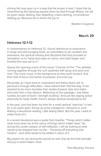shining His love upon us in a way that He knows is best. I hope that by remembering this blessing passed down by God through Moses, we will be given deep, abiding, fear-dispelling, chaos-calming, circumstancedefying joy. Because He is where the joy is!

Stephen Cosgrove

## **March 29**

#### **Hebrews 12:1-12**

In commentaries on Hebrews 12, I found references to endurance in tough and discouraging times, an exhortation to be constant and persevere, the spiritual training and discipline that God provides to strengthen us to "keep (our) eyes on Jesus, who both began and finished this race we're in."

Queue the opening scene of the movie "Chariots of Fire." The athletes running together through the surf, splashed with spray and sand and mud. The iconic music in the background as they push forward. And their look of focus and sense of purpose, and even joy.

Personally, as I have tried to understand and follow God's will, to persevere through difficulties, I have wished that I felt that way. It has seemed to be more stumbles than strides forward, slips and slides and more than a few detours. Reflecting on this passage, I see these hurdles are part of God's "strength building." And just like staying active physically for body health, there's always spiritual work(outs) to do!

In the past, Lent has been my time for a small spiritual "exercise" or two for a six-week span. Giving up some indulgence—desserts or such. Adding a devotional reading. Little lasting effect. But this year, I want to make more of it.

In a recent devotional was a quote from Goethe: "Things which matter most must never be at the mercy of things which matter least." So, during this Lenten season of self-reflection, I will be looking at what needs to be stripped from my life— "throwing off everything that hinders"—and what needs to be added in place of it.

My prayers for you during this period as well, that we find that strength and joy in what matters most.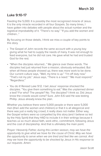#### **Luke 9:10-17**

Feeding the 5,000. It is possibly the most recognized miracle of Jesus. It is the only miracle recorded in all four Gospels. So many times, I have gotten into debates with people about the actual number and the logistical improbability of it. "There's no way." "If you add the women and children…"

By focusing on those details, I think we miss a couple of key points to this story.

- The Gospel of John records the same account with a young boy giving what he had to supply the needs of many. It was not enough to feed everyone, but he did not care. He gave what he had and trusted God for the rest.
- "When the disciples returned…" We glance over these words. The disciples had just returned from a mission, obviously exhausted. But when all these people showed up, there was more work to be done. Our current culture says, "Well, my time is up." "I'm off duty now." "That's not my job." Jesus says, "There is a need." "We must respond." "Regardless."
- You do it! Reread Luke 9:12. I bet Jesus' response shocked the disciples. "You give them something to eat." Was the unplanned dinner a test? For who? The people? No. The disciples? I think so. Did Jesus know the crowds would come? Sure. John 6:6 said He was testing Phillip. Jesus already knew the plan.

Whether you believe there were 5,000 people or there were 5,000 men (then add the women and children) or that it is all allegorical and there was just a really big crowd, it really does not matter. Either way, the Gospel writers were so compelled by this story (and I believe so led by the Holy Spirit) that they HAD to include it in their writings because it teaches us so much about faith, work ethic, commitment, following Jesus and the cost of discipleship. And that is ultimately the main point.

*Prayer: Heavenly Father, during this Lenten season, may we have the opportunity to give what we have for the cause of Christ. May we have the opportunity to serve when we are tired and feel like we cannot. And may we have the opportunity to be shocked by Jesus in His response to our requests. Amen.*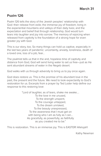# **Psalm 126**

Psalm 126 tells the story of the Jewish peoples' relationship with God: their release from exile; the immense joy of freedom; living in the experiential mountains and valleys of their daily lives; and the expectation and belief that through relationship, God would turn tears into laughter and joy into sorrow. The memory of rejoicing when released from captivity is the foundation of a strong hope for even greater joy with God.

This is our story, too. So many things can hold us captive, especially in the last two years of pandemic: uncertainty, anxiety, loneliness, death of a loved one, loss of a job, fear…

The psalmist tells us that in the arid, hopeless time of captivity and distance from God, God will send living water to set us free—just as He sent abundant streams of water in the Negeb desert.

God walks with us through adversity to bring us to joy once again.

God does restore us. This is the promise of his abundant love in the past, the present and the future. We need to look expectantly to God's restoration for us. Excerpts from a prayer by Ted Loder help define our response to this restoring love:

> "Lord of laughter, as of tears, shake me awake…. To the love in me unused, To the strength unspent, To the courage untapped, To the dream unrisked, To the beauty unexpressed, To the awareness that I must get on with being who I am as fully as I can... As gracefully, as powerfully, as faithfully as you created me to be."

This is restoration. This is an immense joy. This is EASTER! Allelujah!

Kathy Newman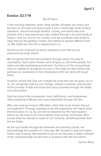#### **Exodus 32:7-14**

#### Be at Peace

In the morning darkness when sleep eludes, thoughts are heavy and focused on the past tumultuous year. It was a seemingly never-ending pandemic; discord amongst families, country, and world was ever present; and a new awareness was created through a focused study of history—that our church, our country, and we ourselves have acted in ways that are thoughtless, hurtful, and hateful to people different from us. We might ask why this is happening to us.

Should we be surprised by these realizations and that we are experiencing tough times?

We recognize that God has provided, through Jesus, the way to redemption. God could choose not to forgive us, His sinful people, but rather provide everlasting punishment. Our focus on the wrong things and our inability to recognize our part in the angst we feel means that perhaps our awareness is best developed when we deal with tough times.

Scripture shows that God can change His mind and has not given up on us. He recognizes that we can change, redeem ourselves, and be part of the promise of faith and hope that Jesus provides through His death and resurrection.

God has shown His compassion, love, faithfulness, and forgiveness when speaking to Moses and most importantly through His Son.

Why now must we endure difficulties, other than to be shown that we are imperfect? Through repentance we will experience the higher level that God plans for us. So, we will be prepared for the next situation where we will have to be more patient, more loving, and kinder. Who knows what He intends to make of us? Certainly, something better than we are today.

As the sun breaks through the darkness and morning clouds, we acknowledge the promise of a new day. We visualize a new and higher, braver way of being. We experience joy as we become a better example of the compassionate servant who is at peace with self and others.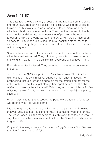# **John 11:45-57**

This passage follows the story of Jesus raising Lazarus from the grave after four days. That left no question that Lazarus was dead. Because Lazarus and his two sisters were friends of Jesus, many wondered why Jesus had not come to heal him. The question was so big that by the time Jesus did arrive, there were a lot of people gathered around to observe Him… Everyone wanted to know why? It would have been so easy for Him. When Jesus had them roll back the stone, much to everyone's dismay, they were even more stunned to see Lazarus walk out of the grave.

Some in the crowd ran off to share with those in power of the Sanhedrin what they had witnessed. They told them, "Here is this man performing many signs. If we let him go on like this, everyone will believe in him."

Even His enemies believed! They believed in the miracle but rejected the Lord.

John's words in 51-53 are profound. Caiaphas spoke. "Now this he did not say on his own initiative; but being high priest that year, he prophesied that Jesus was going to die for the nation, and not for the nation only, but that He might also gather together into one the children of God who are scattered abroad." Caiaphas, set out to kill Jesus for fear of losing his own fragile control with no understanding of God's plan to save us all.

When it was time for the Passover, the people were looking for Jesus, wondering when He would come.

It is this longing, this looking, that I understand. It is also the knowing, that yes, Jesus comes. He came for us. He comes for you and for me. The reassurance is in the many signs, like this one, that Jesus is who He says He is. He is the risen from death Christ, the Son of God who came to give us life.

*Prayer: Father, we praise you for the amazing gift of your Son. Help us to follow in your truth and light.* 

Judy Mardis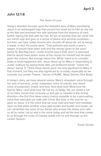#### **John 12:1-8**

#### The Voice of Love

Today's devotion focuses upon the beautiful story of Mary worshiping Jesus in an extravagant way that poured her heart out to Him as she sat at His feet and anointed Him with perfume from the essence of nard, further wiping His feet with her hair. An act of worship that can come into our mind's eye and give us a sense of peace and worship ourselves but then, we have Judas Iscariot who sounds off about her act as being a waste. In fact, his words were, "That perfume was worth a year's wages. It should have been sold and the money given to the poor," (verse 5). Red flag here—Judas Iscariot was a thief, and it is assumed that he would have stolen some of the money for himself had he been given the chance. But enough about him. What I want us to consider today is what happened next. Jesus stood up for Mary in responding to Judas' outburst by saying three little, yet profound words: "Leave her alone," (verse 7). I think these words were not only significant to Mary in that moment, but they are also significant to us today; especially as we consider our Lenten Theme, "Voices of RUMC: Many Stories, One Body."

In today's story, we have several voices: Mary's unspoken voice through her acts of worship; Judas' outspoken voice of untruth; and Jesus' voice of protection, shield, and love. And what love! What love He had for Mary—and what love He has for us today. Yet, our world is full of so many voices that consume us and get us headed in the wrong direction—the Evil One takes every chance possible to be a persuading voice that interrupts our walk with Christ. But God, in His love for us, gave us Jesus. It is His voice that we must read and learn and meditate upon so that when another voice gets louder and louder and louder, we can remember the voice of our Savior who knows His sheep and calls us all by name. Let us rest in His voice today and let His love that comes to us through the cross of Calvary speak into us and through us this Lenten Season.

Susan Gunter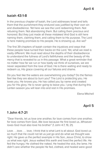# **Isaiah 43:1-8**

In the previous chapter of Isaiah, the Lord addresses Israel and tells them that the punishment they endured was justified by their own sin and disobedience. Yet here we see the Lord redeeming them. Not rebuking them. Not abandoning them. But calling them precious and honored. But they just made all these mistakes! And God is still here naming them, claiming them, and calling them to His purpose. The Lord is here making promises to His people. He is showing up. Are we?

The first 39 chapters of Isaiah contain the injustices and ways that these people have turned their backs on the Lord. Yet, what we read is vastly different. We must read about the depths of their disobedience to understand the fullness of Lord's faithfulness and the beauty of His mercy that is revealed to us in this passage. What a great reminder that no matter how far we run or how badly we think of ourselves, we are never separated from the love of God. He is there waiting and ready to redeem us, His grace covering all our failures and shame.

Do you feel like the waters are overwhelming you today? Do the flames feel like they are about to burn you? The Lord is protecting you. He loves you. He knows you. He has called you by name and created you for His glory. He is never going to leave you. I pray that during this Lenten season you will lean into and rest in His promises.

Elena Mitchell

# **April 5**

# **1 John 4:7-21**

"Dear friends, let us love one another, for love comes from one another, for love comes from God...We love because He first loved us...Whoever loves God must also love his brother" (1 John 4:7, 19, 21).

Love . . . love . . . love. I think that is what Lent is all about. God loved us so much that He could not let us just go and do what we thought was right. He gave us the perfect example in His Son, Jesus Christ, to show us what was right. Jesus walked this earth and lived the perfect life. He fed the hungry. He clothed the naked. He healed the sick, the lame. He didn't care whether the people He fed, clothed, and healed were good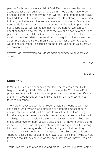people. Each person was a child of God. Each person was beloved by Jesus because God put them on this earth. They did not have to do anything extraordinary or say the right words. Some of them hardly even thanked Jesus. I think they were stunned that He not only paid attention to them, but He healed them—completely! And maybe that's what we need to do for Lent. Most of us are not going to be able to physically heal anybody, but we can notice that they are hurting. We can pay attention to the homeless, the hungry, the sick, the poorly clothed. Each person in need is a child of God just the same as each of us. That makes us all brothers and sisters. Let us show our neighbors that we see them as our brothers and sisters in Christ. Let us act just a little like Jesus would and show that His sacrifice on the cross was not in vain...that we are paying attention.

*Prayer: God, thank you for giving us another chance to be more like Jesus.* 

Pam Page

# **April 6**

# **Mark 1:15**

In Mark 1:15, Jesus is announcing that the time has come for Him to begin His earthly ministry. "Repent and believe the Good News!" This proclamation from Jesus is often the phrase spoken when the officiant at the Ash Wednesday service makes the sign on the cross on your forehead in ashes.

The word that Jesus uses here, "repent," actually means to turn. Not just a little turn or veer in one direction or another; it means to turn completely around and go the opposite way. I like that. One of my favorite images of Jesus is from this verse. I imagine Jesus looking out at a large group of people who are walking away from Him. Because of His great love for them, Jesus is sad, since He knows they are going in the wrong direction. They are following the wrong voices, the wrong information, the wrong leaders. The hope, joy, and gladness they are looking for will not be found in that direction. So, Jesus calls out, "Repent!" Jesus is not scolding the crowd, but He is simply trying to help them see that if they continue on the path they are on, they will remain lost.

Jesus' "repent" is an offer of love and grace. "Repent," He says, "come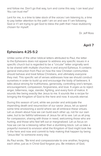and follow me. Don't go that way, turn and come this way. I can lead you! You can trust me!"

Lent for me, is a time to take stock of the voices I am listening to, a time to pay better attention to the path I am on and see if I am following God or if I am trying to get God to bless the path that I have stubbornly chosen for myself.

Dr. Jeff Ross

# **April 7**

# **Ephesians 4:25-5:2**

Unlike some of the other biblical letters attributed to Paul, the letter to the Ephesians does not appear to address any specific issues in a specific church but is regarded to be a "circular" letter originally sent to be shared with multiple churches in and around Ephesus. It contains general instruction from Paul on how the new Christian communities should behave and treat fellow Christians, and ultimately everyone they met. This specific set of verses addresses how we should conduct ourselves in order to build up and encourage the body of believers. It talks about striving for truthfulness, generosity, controlling one's temper, encouragement, compassion, forgiveness, and love. It urges us to reject anger, bitterness, rage, slander, fighting, and every form of malice. It sounds like being exactly like Jesus to me. It sounds like a recipe for bringing the Kingdom of God to the here and now. It sounds eternal.

During this season of Lent, while we ponder and anticipate the impending death and resurrection of our savior Jesus, let us spend some time envisioning a world where we all embrace these virtues. Let us dream about how we can build each other up, not for our own sake, but to be faithful witnesses of Jesus for all to see. Let us all pray for compassion, sharing with those in need, welcoming those who are hurting, and those who feel left out or marginalized. Let us focus on how we can be a blessing rather than a stumbling block. Let us take a prayerful moment to envision what the Kingdom of God might look like in the here and now and commit to help making that happen by being "Jesus-like" to someone every day.

As Paul wrote, "Be kind and compassionate to one another, forgiving each other, just as in Christ God forgave you. Be imitators of God,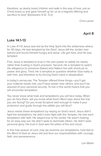therefore, as dearly loved children and walk in the way of love, just as Christ loved us and gave himself up for us as a fragrant offering and sacrifice to God" (Ephesians 4:32 -5:2).

Chris Leiner

# **April 8**

## **Luke 14:1-13**

In Luke 4:1-13 Jesus was led by the Holy Spirit into the wilderness where, for 40 days, He was tempted by the Devil. Jesus left the Jordan river behind and found Himself hungry and alone. Life got hard, and He was tempted.

First, Jesus is tempted to trust in His own power to satisfy his needs, rather than trusting in God's provision. Second, He is tempted to switch His allegiance to someone (Satan) who flatters him with shortcuts to power and glory. Third, He is tempted to question whether God really is with Him, and therefore to try forcing God's hand in desperation.

In today's vernacular, The Tempter offered three things—you'll get your material needs met, you'll have power over others, and you'll be assured of your personal security. To live in this world means that you will encounter temptation.

You never know what trials and temptations you will face today. When you do face them, will you know what God's Word says about the trial you are facing? Do you know Scripture well enough to make it your protection and guide through the pitfalls you will face?

Jesus resists these temptations by relying on God's word. Jesus didn't fight the temptations, He didn't even fight with the Tempter, He met each temptation with faith. He stayed true to His center. He wasn't looking for an easy way out. He didn't seek to dominate others. He didn't seek personal glory. His trust in God was His pillars of fire and cloud.

In this holy season of Lent, may we examine our temptations, hold fast to the Word of God as Jesus did and face our responsibilities with courage, faith, and perseverance.

Lori Walsh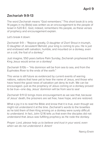# **Zechariah 9:9-13**

The word Zechariah means "God remembers." This short book (it is only 14 pages in my Bible) was written as an encouragement to the people of Israel in 520 B.C. God, indeed, remembers His people, as these verses of prophecy and encouragement explain.

Let's break it down:

Zechariah 9:9 – "Rejoice greatly, O daughter of Zion! Shout in triumph, O daughter of Jerusalem! Behold, your king is coming to you. He is just and endowed with salvation, humble, and mounted on a donkey, even on a colt, the foal of a donkey."

Just imagine, 550 years before Palm Sunday, Zechariah prophesied that King Jesus would arrive on a donkey!

Zechariah 9:10b – "His dominion will be from sea to sea, and from the Euphrates River to the ends of the earth."

This verse is still future as evidenced by current events of warring nations, nations that have yet to hear the name of Jesus, and those who have heard the good news of salvation yet deny its truth. We can be encouraged—just as the prophecy of Jesus coming on a donkey proved to be true—one day, Jesus' dominion will be from sea to sea!

Zechariah 9:11-12 brings more encouragement as we see that, because of Jesus' death, the prisoners are set free, have hope, and are restored.

What a joy it is to read the Bible and know that it is true, even though we might not understand it at the time. Zechariah's words to the Israelites as he told them of their King arriving on a donkey were surely difficult to understand. In fact, John 12:16 tells us that even the disciples did not understand that Jesus was fulfilling prophecy as He rode the donkey.

*Prayer: Lord, please help us to believe and trust in your word, even when we do not understand it. Amen!* 

Nancy Erwin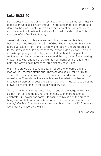#### **Luke 19:28-40**

Lent is best known as a time for sacrifice and denial, a time for Christians to focus on what Jesus went through in preparation for His torture and death on the cross. Lent is also a time for preparation, contemplation, and...celebration. I believe this story is focused on celebration. This is the story of the first Palm Sunday.

Jesus' followers, who have witnessed His miracles and teaching, believe He is the Messiah, the Son of God. They believe He has come to free Jerusalem from Roman tyranny and reclaim the promised land for the Jews. When He approaches the city on a donkey colt, He fulfills a Jewish prophesy foretold by the prophet Zechariah. Imagine the excitement as Jesus made His way toward the city gates. The cheering crowd, filled with unbridled joy, laid their garments on the road in His path, and waved palm branches, proclaiming Jesus King!

Within the crowd were several Jewish leaders who feared that this man would upset the status quo. They scolded Jesus, telling Him to silence the blasphemous crowd. This is where we discover something remarkable: The celebration is much more than what is visible. All creation is celebrating! Jesus tells them that even if He were to quiet the crowd, the very stones in the road would cry out!

Today we understand that Jesus was indeed on the verge of liberating us, but from sin and death, not the Romans. Even more reason to celebrate! Our savior has come! He sacrificed himself on the cross to bring eternal life to all who believe. What could be more celebrationworthy? On Palm Sunday, wave those palm branches with JOY, because we know He is risen. Halleluiah!!

Lee Dodson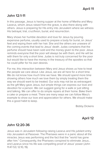# **John 12:1-11**

In this passage, Jesus is having supper at the home of Martha and Mary. Lazarus, whom Jesus raised from the grave, is also there along with others. Jesus is preparing for His entry into Jerusalem where we witness His betrayal, trial, crucifixion, burial, and resurrection.

Mary shows her humble devotion and love for Jesus by pouring expensive perfume, usually used to prepare a body for burial, on Jesus' feet and wiping them with her hair. She and the others are unaware of the coming events that lead to Jesus' death. Judas complains that the perfume should have been sold and the money given to the poor. Jesus reminds everyone that the poor will always be with them, and He will be with them for only a short time. Judas is not truly concerned for the poor but would like to have the money in the treasury of the apostles so that he could pilfer for his own desires.

For me, this interaction between Mary and Jesus shows us how to treat the people we care about. Like Jesus, we are all here for a short time. We do not know how much time we have. We should spend more time showing others how much we love them by simply treating them the way we should want to be treated. Our acts may not be as extravagant as the gift Mary gave Jesus, but simple things can express our love and devotion for a person. We can suggest going for a walk or just sitting and talking. We can offer to do simple repairs at their home. Bake them a cake or prepare a meal. There are many ways we can follow Mary's example to show our love and appreciation for others. We should make this a good habit to keep.

Bobby Dickens

# **April 12**

# **John 12:20-36**

Jesus was in Jerusalem following raising Lazarus and His jubilant entry into Jerusalem at Passover. The Pharisees were in a panic about all the miracles Jesus was performing and the fact that the "world has gone after him." Consequently, the Pharisees conspired to eliminate Jesus... and Lazarus since his life was compelling proof of Jesus' power (John 11:47-53; 12:10, 19).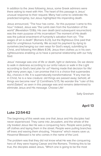In addition to the Jews following Jesus, some Greek admirers were there asking to meet with Him. The heart of this passage is Jesus' unusual response to their request. Many had come to celebrate His predicted kingship, but Jesus highlighted His impending death.

Jesus announced, "The hour has come… for this purpose I came to this hour." Indeed, Jesus was "the Lamb slain from the foundation of the world" (Revelation 13:8b). His own death (and subsequent resurrection) was the main purpose of His incarnation! The moment of His death was the judicial enactment of humanity's salvation from sin. "The wages of sin is death" (Romans 6:23), but the Righteous One paid that debt for unrighteous humanity. We accept his payment by dying to ourselves (exchanging our own ways for God's ways), submitting to Christ, and following Him (Mark 8:34). Jesus then clothes us in his own righteousness enabling us to have a personal relationship with our holy God.

Jesus' message was one of life or death, light or darkness. Do we desire to walk in darkness according to our sinful nature or walk in the Light according to God's best plan for us? Having made that decision for life/ light many years ago, I can promise that it is a choice that supersedes ALL choices in life. It is supernaturally transformational. "If any man be in Christ, he is a new creature: old things are passed away; behold, all things are become new" (2 Corinthians 5:17). No wonder the "ruler of this world (Satan)" as seen in this passage was and remains determined to eliminate Jesus and His message. Choose Life!

Sally Gresham

#### **April 13**

#### **Luke 22:54-62**

The beginning of this week was one that Jesus and His disciples had never experienced. They came into Jerusalem, and the whole of the city treated Jesus like He was a conquering hero. People were pulling off clothes and laying them in the street. People were pulling branches off trees and waving them shouting, "Hosanna" which means save us. Hosanna! Blessed is he who comes in the name of the Lord.

The problem was that they did not know what He was the conquering hero of: they were hoping Caesar and the Romans. Thinking this to be true, the disciples asked Jesus, "Which one is going to be the most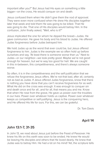important after you?" But Jesus had His eyes on something a little bigger—on the cross, He would conquer sin and death.

Jesus confused them when He didn't give them the nod of approval. They were even more confused when He drew His disciples together later that week and told them He was going to be killed. That He was going to die. That one of His disciples would betray Him. In the confusion, John finally asked, "Well, who is it?"

Jesus implicated the one for whom he dipped the bread—Judas. He gave communion. He gave his body and his blood to Judas. He offered Judas forgiveness before Judas betrayed him.

We hold Judas up as the worst that ever could be, but Jesus offered forgiveness to him. Judas is the example we so often hold up before ourselves and say, "At least there is someone worse than us." Next to Judas—or our neighbor—we look pretty good. Maybe we're not good enough for heaven, but we're way too good for hell. We are caught in this in-between, this competitiveness, and there's always someone worse.

So often, it is in the competitiveness and the self-justification that we refuse the forgiveness Jesus offers. We're not that bad, after all, certainly not as bad as Judas. If Jesus offered Judas forgiveness, know that there is nothing you have done that you can't receive forgiveness for as well. What He did on the cross was enough. It was enough to conquer sin and death once and for all...and for all, that means you and me. Know that when He rose from the grave, He gave us power over the troubles in our lives. Power over whatever holds us captive. Power over whatever keeps us competitive or self-justifying. Jesus is the conquering hero, and He offered His life for ours. For this, we can be grateful.

Dr. Tom Davis

#### **April 14**

# **John 13:1-7, 31-35**

In John 13, we read about Jesus just before the Feast of Passover. He knew his life on this earth was soon to be ended. He knew He would be leaving His disciples and others that He loved dearly. He knew that Judas was to betray Him. He had a lot on his mind! Yet, the scripture tells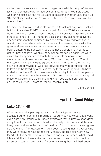us that Jesus rose from supper and began to wash His disciples' feet—a task that was usually performed by servants. What an example Jesus was for his disciples and for us! Later in this same chapter, Jesus tells us, "By this all men will know that you are My disciples, if you have love for one another."

It's important that we are disciples of Jesus Christ, not only for ourselves but for others also. RUMC provided a path for us in 2020, as we were dealing with the Covid pandemic. Floyd and I were asked (as were many others) to "check-on" six members occasionally by calling or delivering needed items to their doorsteps (yes, we even delivered toilet tissue once). Then later, when restrictions were not as severe, I was asked to greet and take temperatures of masked church members and visitors before entering the Sanctuary. God put those people in our paths to get to know and love. When Sunday School started up again, we were asked by Nancy Spence to teach three-year-old Sunday School. There were not enough teachers, so being 74 did not disqualify us. Cheryl Funsten and Katharina Watts agreed to team with us. What fun we are having in Sunday School! God has provided many opportunities for us to love and be loved by others. What joy these folks (aged 3-100) have added to our lives! Dr. Davis asks us each Sunday to think of one person to call to let them know they matter to God and to us also—this is a good place to start to share God's love and when you want more, call the church to volunteer. I promise you will receive more.

Jane Connell

#### **April 15—Good Friday**

#### **Luke 23:44-49**

When we read this passage today, it can feel slippery. We are accustomed to hearing this reading at Good Friday services, but anyone even passingly familiar with Christianity knows that is just two short days away from Easter, so it can be hard (and frankly quite uncomfortable) to imagine ourselves in the disciples' position. Try to picture it: having given up everything—friends, comfort, livelihoods—trusting that this Jesus who they were following was indeed the Messiah, the disciples were now faced with His death, from which no one had ever returned. What would it have felt like to have staked all their hopes on Jesus, only to watch those expectations be crucified? However strong their faith had been,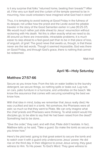is it any surprise that folks "returned home, beating their breasts"? After all, if the very sun itself and the curtain of the temple seemed to be in mourning, how could onlookers have imagined what God had in store?

Thus, it is tempting to avoid looking at Good Friday in the fullness of its despair, not unlike how the priest and the Levite avoid the pitiable traveler in the story of the Good Samaritan earlier in Luke (10:25-37). We would much rather just slide ahead to Jesus' resurrection without reckoning with His death. Yet this is often exactly what we need to do. All around us there are irreversible, intractable problems; it is much easier to skip ahead to a feel-good part than to be in that place of loss, of anguish, of grief. The good news that awaits us, though, is that these never are the last words. Though it seemed impossible, God was there on Good Friday, and through God's grace, there is nothing that cannot be redeemed.

Matt Hall

# **April 16—Holy Saturday**

## **Matthew 27:57-66**

Secure as you know how. From the lids on water bottles to the laundry detergent, we secure things, so nothing spills or leaks out. Lug nuts on cars, patio furniture in a hurricane, and umbrellas on the beach. We know the assurance that comes with securing something the best we know how.

With that idea in mind, today we remember that Jesus really died; He was crucified and laid in a tomb. Yet somehow, the Pharisees were all astir; so much so that they went to Pilate. We can only imagine what the chief priests and Pharisees were thinking. To what extent would His disciples go, to be able to say that He had been raised from the dead? Something had to be done…

"Give the order," they said, and with that, Pilate didn't hesitate. In fact, Matthew tells us he said, "Take a guard. Go make the tomb as secure as you know how."

Here's the plot twist: going to that great extent to secure the tomb and to watch over it with a guard only underscores Jesus' power. He did rise on the third day. In their diligence to prove Jesus wrong, they gave witness to Him. To His power. To God's Word. They gave witness to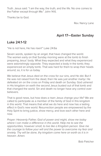Truth. Jesus said: "I am the way, the truth, and the life. No one comes to the Father except through Me." John 14:6.

Thanks be to God.

Rev. Nancy Lane

# **April 17—Easter Sunday**

#### **Luke 24:1-12**

"He is not here, He has risen!" Luke 24:6a

Seven words, spoken by an angel, that have changed the world. The women early on that Sunday morning were at the tomb to finish preparing Jesus' body. What they expected and what they experienced were astonishingly opposite. They expected a body in the tomb; they experienced an empty tomb. That was hard for them to wrap their heads around; so, it is for us today.

We believe that Jesus died on the cross for our sins, and He did. But if He was not raised from the dead, then He was just another martyr. He defeated sin on the cross on Friday and death on Sunday. God ushered in His kingdom on earth the second Jesus busted out of that tomb and that changed the world. Sin and death no longer have any control over believers.

That is good news, but how does a risen Jesus change your life? We are called to participate as a member of the family of God in this kingdom in this world. That means that what we do here and now has a lasting effect in God's new world. Resurrection people are empowered by the Holy Spirit to bring justice, show mercy, and love each other here and now.

*Prayer: Heavenly Father, God of power and might, show me today where I can make a difference in this world. Help me to see the opportunities, however small, to live like a Kingdom person. Give me the courage to follow your will and the power to overcome my fear and anxiety. Thy will be done, thy kingdom come here on earth as it is in heaven. Amen.* 

Bob Fletcher